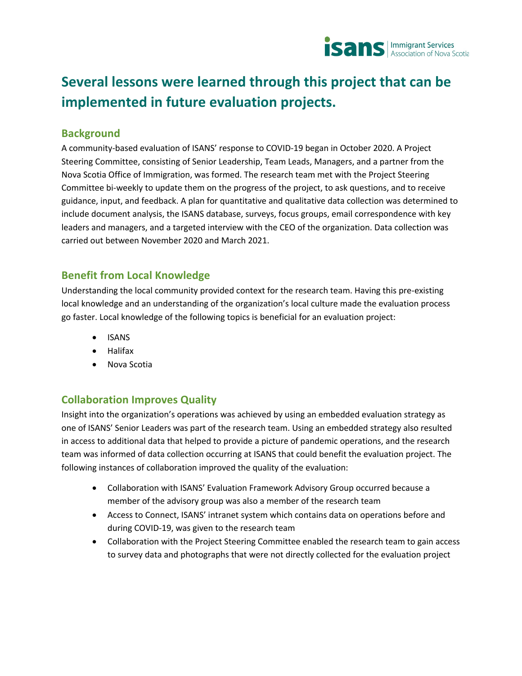

# **Several lessons were learned through this project that can be implemented in future evaluation projects.**

#### **Background**

A community-based evaluation of ISANS' response to COVID-19 began in October 2020. A Project Steering Committee, consisting of Senior Leadership, Team Leads, Managers, and a partner from the Nova Scotia Office of Immigration, was formed. The research team met with the Project Steering Committee bi-weekly to update them on the progress of the project, to ask questions, and to receive guidance, input, and feedback. A plan for quantitative and qualitative data collection was determined to include document analysis, the ISANS database, surveys, focus groups, email correspondence with key leaders and managers, and a targeted interview with the CEO of the organization. Data collection was carried out between November 2020 and March 2021.

#### **Benefit from Local Knowledge**

Understanding the local community provided context for the research team. Having this pre-existing local knowledge and an understanding of the organization's local culture made the evaluation process go faster. Local knowledge of the following topics is beneficial for an evaluation project:

- ISANS
- Halifax
- Nova Scotia

#### **Collaboration Improves Quality**

Insight into the organization's operations was achieved by using an embedded evaluation strategy as one of ISANS' Senior Leaders was part of the research team. Using an embedded strategy also resulted in access to additional data that helped to provide a picture of pandemic operations, and the research team was informed of data collection occurring at ISANS that could benefit the evaluation project. The following instances of collaboration improved the quality of the evaluation:

- Collaboration with ISANS' Evaluation Framework Advisory Group occurred because a member of the advisory group was also a member of the research team
- Access to Connect, ISANS' intranet system which contains data on operations before and during COVID-19, was given to the research team
- Collaboration with the Project Steering Committee enabled the research team to gain access to survey data and photographs that were not directly collected for the evaluation project